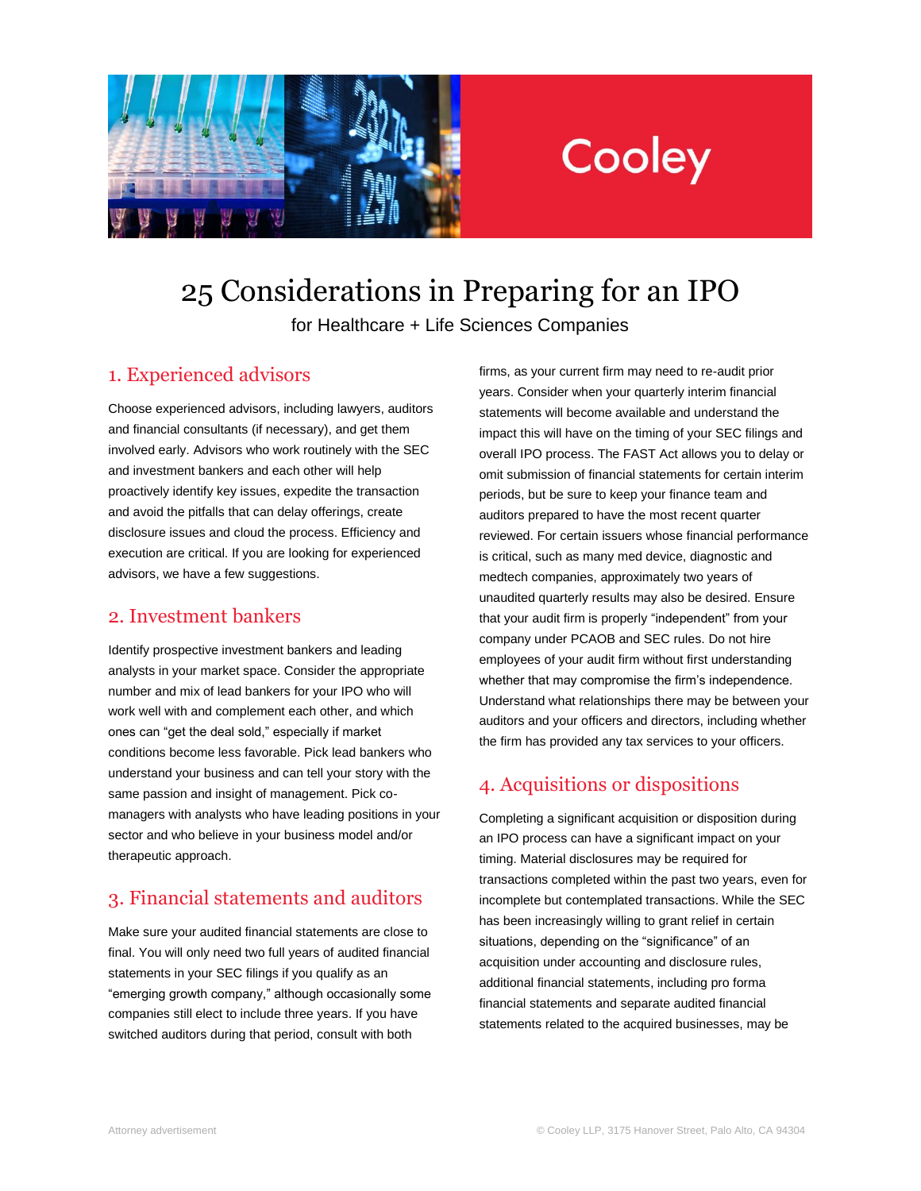

# Cooley

25 Considerations in Preparing for an IPO for Healthcare + Life Sciences Companies

## 1. Experienced advisors

Choose experienced advisors, including lawyers, auditors and financial consultants (if necessary), and get them involved early. Advisors who work routinely with the SEC and investment bankers and each other will help proactively identify key issues, expedite the transaction and avoid the pitfalls that can delay offerings, create disclosure issues and cloud the process. Efficiency and execution are critical. If you are looking for experienced advisors, we have a few suggestions.

#### 2. Investment bankers

Identify prospective investment bankers and leading analysts in your market space. Consider the appropriate number and mix of lead bankers for your IPO who will work well with and complement each other, and which ones can "get the deal sold," especially if market conditions become less favorable. Pick lead bankers who understand your business and can tell your story with the same passion and insight of management. Pick comanagers with analysts who have leading positions in your sector and who believe in your business model and/or therapeutic approach.

## 3. Financial statements and auditors

Make sure your audited financial statements are close to final. You will only need two full years of audited financial statements in your SEC filings if you qualify as an "emerging growth company," although occasionally some companies still elect to include three years. If you have switched auditors during that period, consult with both

firms, as your current firm may need to re-audit prior years. Consider when your quarterly interim financial statements will become available and understand the impact this will have on the timing of your SEC filings and overall IPO process. The FAST Act allows you to delay or omit submission of financial statements for certain interim periods, but be sure to keep your finance team and auditors prepared to have the most recent quarter reviewed. For certain issuers whose financial performance is critical, such as many med device, diagnostic and medtech companies, approximately two years of unaudited quarterly results may also be desired. Ensure that your audit firm is properly "independent" from your company under PCAOB and SEC rules. Do not hire employees of your audit firm without first understanding whether that may compromise the firm's independence. Understand what relationships there may be between your auditors and your officers and directors, including whether the firm has provided any tax services to your officers.

# 4. Acquisitions or dispositions

Completing a significant acquisition or disposition during an IPO process can have a significant impact on your timing. Material disclosures may be required for transactions completed within the past two years, even for incomplete but contemplated transactions. While the SEC has been increasingly willing to grant relief in certain situations, depending on the "significance" of an acquisition under accounting and disclosure rules, additional financial statements, including pro forma financial statements and separate audited financial statements related to the acquired businesses, may be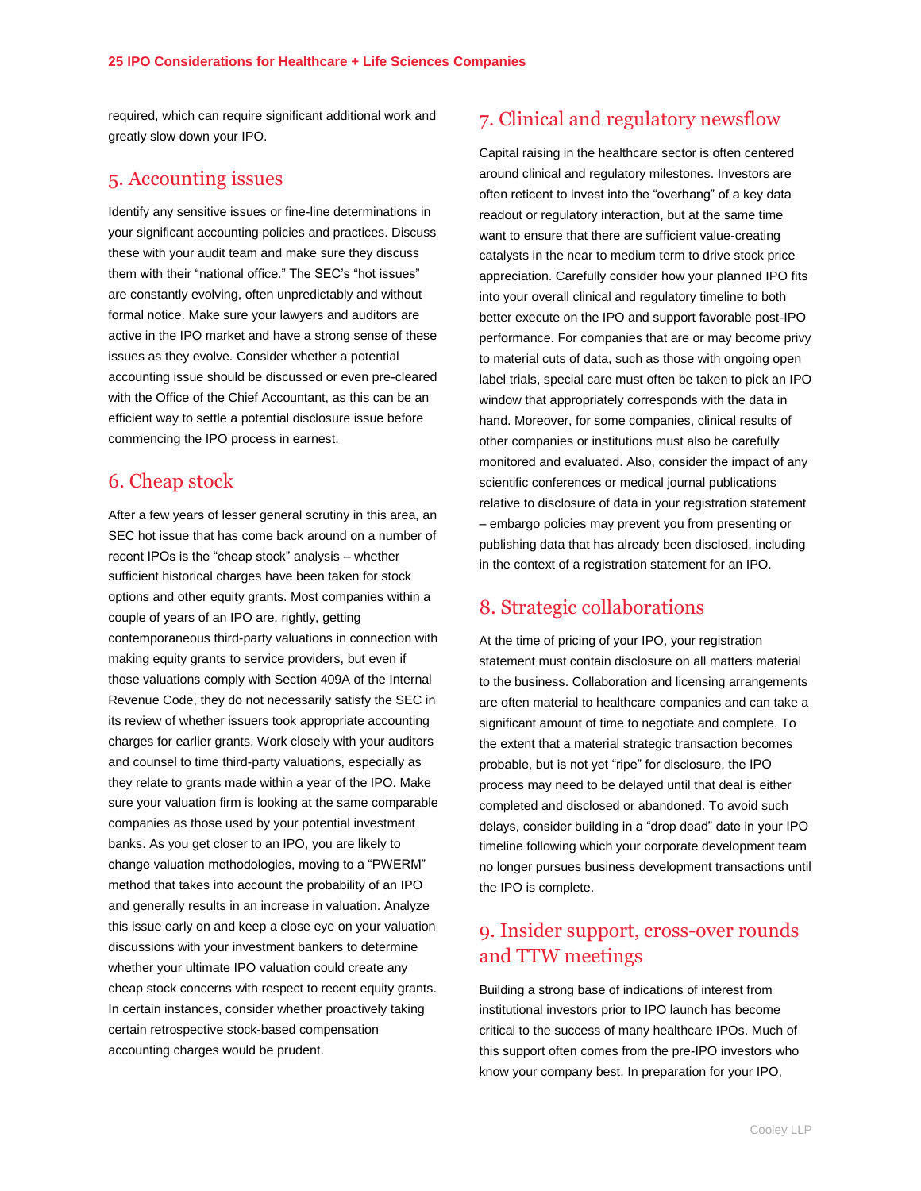required, which can require significant additional work and greatly slow down your IPO.

## 5. Accounting issues

Identify any sensitive issues or fine-line determinations in your significant accounting policies and practices. Discuss these with your audit team and make sure they discuss them with their "national office." The SEC's "hot issues" are constantly evolving, often unpredictably and without formal notice. Make sure your lawyers and auditors are active in the IPO market and have a strong sense of these issues as they evolve. Consider whether a potential accounting issue should be discussed or even pre-cleared with the Office of the Chief Accountant, as this can be an efficient way to settle a potential disclosure issue before commencing the IPO process in earnest.

## 6. Cheap stock

After a few years of lesser general scrutiny in this area, an SEC hot issue that has come back around on a number of recent IPOs is the "cheap stock" analysis – whether sufficient historical charges have been taken for stock options and other equity grants. Most companies within a couple of years of an IPO are, rightly, getting contemporaneous third-party valuations in connection with making equity grants to service providers, but even if those valuations comply with Section 409A of the Internal Revenue Code, they do not necessarily satisfy the SEC in its review of whether issuers took appropriate accounting charges for earlier grants. Work closely with your auditors and counsel to time third-party valuations, especially as they relate to grants made within a year of the IPO. Make sure your valuation firm is looking at the same comparable companies as those used by your potential investment banks. As you get closer to an IPO, you are likely to change valuation methodologies, moving to a "PWERM" method that takes into account the probability of an IPO and generally results in an increase in valuation. Analyze this issue early on and keep a close eye on your valuation discussions with your investment bankers to determine whether your ultimate IPO valuation could create any cheap stock concerns with respect to recent equity grants. In certain instances, consider whether proactively taking certain retrospective stock-based compensation accounting charges would be prudent.

# 7. Clinical and regulatory newsflow

Capital raising in the healthcare sector is often centered around clinical and regulatory milestones. Investors are often reticent to invest into the "overhang" of a key data readout or regulatory interaction, but at the same time want to ensure that there are sufficient value-creating catalysts in the near to medium term to drive stock price appreciation. Carefully consider how your planned IPO fits into your overall clinical and regulatory timeline to both better execute on the IPO and support favorable post-IPO performance. For companies that are or may become privy to material cuts of data, such as those with ongoing open label trials, special care must often be taken to pick an IPO window that appropriately corresponds with the data in hand. Moreover, for some companies, clinical results of other companies or institutions must also be carefully monitored and evaluated. Also, consider the impact of any scientific conferences or medical journal publications relative to disclosure of data in your registration statement – embargo policies may prevent you from presenting or publishing data that has already been disclosed, including in the context of a registration statement for an IPO.

# 8. Strategic collaborations

At the time of pricing of your IPO, your registration statement must contain disclosure on all matters material to the business. Collaboration and licensing arrangements are often material to healthcare companies and can take a significant amount of time to negotiate and complete. To the extent that a material strategic transaction becomes probable, but is not yet "ripe" for disclosure, the IPO process may need to be delayed until that deal is either completed and disclosed or abandoned. To avoid such delays, consider building in a "drop dead" date in your IPO timeline following which your corporate development team no longer pursues business development transactions until the IPO is complete.

## 9. Insider support, cross-over rounds and TTW meetings

Building a strong base of indications of interest from institutional investors prior to IPO launch has become critical to the success of many healthcare IPOs. Much of this support often comes from the pre-IPO investors who know your company best. In preparation for your IPO,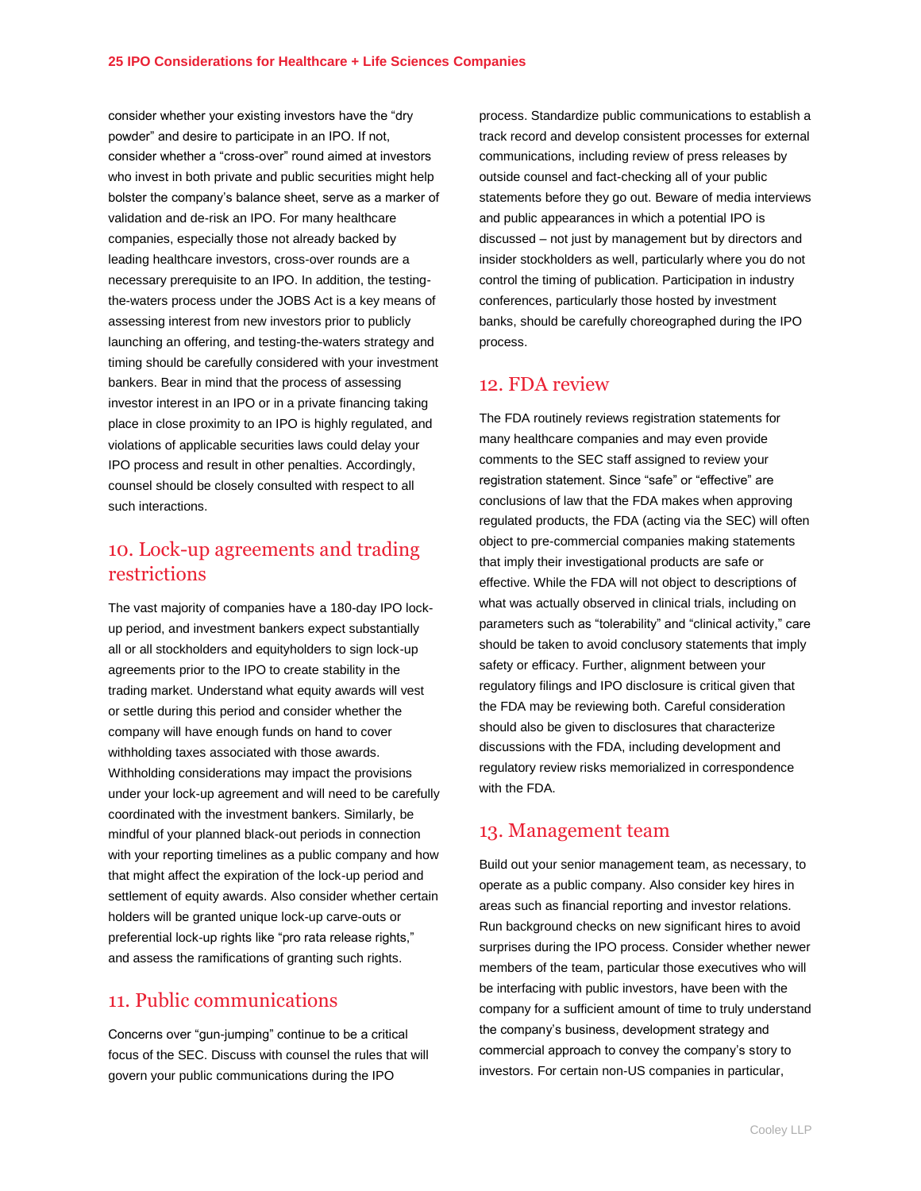consider whether your existing investors have the "dry powder" and desire to participate in an IPO. If not, consider whether a "cross-over" round aimed at investors who invest in both private and public securities might help bolster the company's balance sheet, serve as a marker of validation and de-risk an IPO. For many healthcare companies, especially those not already backed by leading healthcare investors, cross-over rounds are a necessary prerequisite to an IPO. In addition, the testingthe-waters process under the JOBS Act is a key means of assessing interest from new investors prior to publicly launching an offering, and testing-the-waters strategy and timing should be carefully considered with your investment bankers. Bear in mind that the process of assessing investor interest in an IPO or in a private financing taking place in close proximity to an IPO is highly regulated, and violations of applicable securities laws could delay your IPO process and result in other penalties. Accordingly, counsel should be closely consulted with respect to all such interactions.

## 10. Lock-up agreements and trading restrictions

The vast majority of companies have a 180-day IPO lockup period, and investment bankers expect substantially all or all stockholders and equityholders to sign lock-up agreements prior to the IPO to create stability in the trading market. Understand what equity awards will vest or settle during this period and consider whether the company will have enough funds on hand to cover withholding taxes associated with those awards. Withholding considerations may impact the provisions under your lock-up agreement and will need to be carefully coordinated with the investment bankers. Similarly, be mindful of your planned black-out periods in connection with your reporting timelines as a public company and how that might affect the expiration of the lock-up period and settlement of equity awards. Also consider whether certain holders will be granted unique lock-up carve-outs or preferential lock-up rights like "pro rata release rights," and assess the ramifications of granting such rights.

#### 11. Public communications

Concerns over "gun-jumping" continue to be a critical focus of the SEC. Discuss with counsel the rules that will govern your public communications during the IPO

process. Standardize public communications to establish a track record and develop consistent processes for external communications, including review of press releases by outside counsel and fact-checking all of your public statements before they go out. Beware of media interviews and public appearances in which a potential IPO is discussed – not just by management but by directors and insider stockholders as well, particularly where you do not control the timing of publication. Participation in industry conferences, particularly those hosted by investment banks, should be carefully choreographed during the IPO process.

#### 12. FDA review

The FDA routinely reviews registration statements for many healthcare companies and may even provide comments to the SEC staff assigned to review your registration statement. Since "safe" or "effective" are conclusions of law that the FDA makes when approving regulated products, the FDA (acting via the SEC) will often object to pre-commercial companies making statements that imply their investigational products are safe or effective. While the FDA will not object to descriptions of what was actually observed in clinical trials, including on parameters such as "tolerability" and "clinical activity," care should be taken to avoid conclusory statements that imply safety or efficacy. Further, alignment between your regulatory filings and IPO disclosure is critical given that the FDA may be reviewing both. Careful consideration should also be given to disclosures that characterize discussions with the FDA, including development and regulatory review risks memorialized in correspondence with the FDA.

#### 13. Management team

Build out your senior management team, as necessary, to operate as a public company. Also consider key hires in areas such as financial reporting and investor relations. Run background checks on new significant hires to avoid surprises during the IPO process. Consider whether newer members of the team, particular those executives who will be interfacing with public investors, have been with the company for a sufficient amount of time to truly understand the company's business, development strategy and commercial approach to convey the company's story to investors. For certain non-US companies in particular,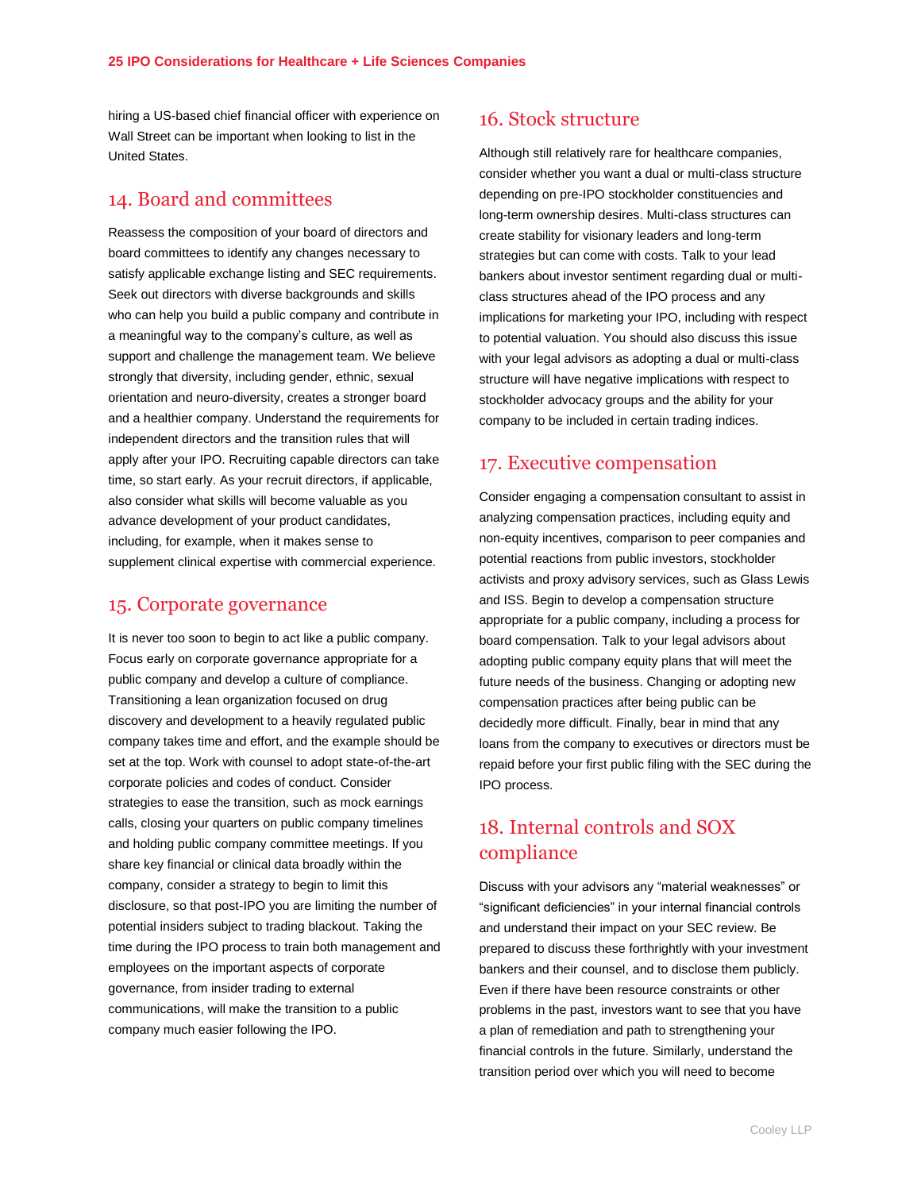hiring a US-based chief financial officer with experience on Wall Street can be important when looking to list in the United States.

## 14. Board and committees

Reassess the composition of your board of directors and board committees to identify any changes necessary to satisfy applicable exchange listing and SEC requirements. Seek out directors with diverse backgrounds and skills who can help you build a public company and contribute in a meaningful way to the company's culture, as well as support and challenge the management team. We believe strongly that diversity, including gender, ethnic, sexual orientation and neuro-diversity, creates a stronger board and a healthier company. Understand the requirements for independent directors and the transition rules that will apply after your IPO. Recruiting capable directors can take time, so start early. As your recruit directors, if applicable, also consider what skills will become valuable as you advance development of your product candidates, including, for example, when it makes sense to supplement clinical expertise with commercial experience.

#### 15. Corporate governance

It is never too soon to begin to act like a public company. Focus early on corporate governance appropriate for a public company and develop a culture of compliance. Transitioning a lean organization focused on drug discovery and development to a heavily regulated public company takes time and effort, and the example should be set at the top. Work with counsel to adopt state-of-the-art corporate policies and codes of conduct. Consider strategies to ease the transition, such as mock earnings calls, closing your quarters on public company timelines and holding public company committee meetings. If you share key financial or clinical data broadly within the company, consider a strategy to begin to limit this disclosure, so that post-IPO you are limiting the number of potential insiders subject to trading blackout. Taking the time during the IPO process to train both management and employees on the important aspects of corporate governance, from insider trading to external communications, will make the transition to a public company much easier following the IPO.

#### 16. Stock structure

Although still relatively rare for healthcare companies, consider whether you want a dual or multi-class structure depending on pre-IPO stockholder constituencies and long-term ownership desires. Multi-class structures can create stability for visionary leaders and long-term strategies but can come with costs. Talk to your lead bankers about investor sentiment regarding dual or multiclass structures ahead of the IPO process and any implications for marketing your IPO, including with respect to potential valuation. You should also discuss this issue with your legal advisors as adopting a dual or multi-class structure will have negative implications with respect to stockholder advocacy groups and the ability for your company to be included in certain trading indices.

## 17. Executive compensation

Consider engaging a compensation consultant to assist in analyzing compensation practices, including equity and non-equity incentives, comparison to peer companies and potential reactions from public investors, stockholder activists and proxy advisory services, such as Glass Lewis and ISS. Begin to develop a compensation structure appropriate for a public company, including a process for board compensation. Talk to your legal advisors about adopting public company equity plans that will meet the future needs of the business. Changing or adopting new compensation practices after being public can be decidedly more difficult. Finally, bear in mind that any loans from the company to executives or directors must be repaid before your first public filing with the SEC during the IPO process.

# 18. Internal controls and SOX compliance

Discuss with your advisors any "material weaknesses" or "significant deficiencies" in your internal financial controls and understand their impact on your SEC review. Be prepared to discuss these forthrightly with your investment bankers and their counsel, and to disclose them publicly. Even if there have been resource constraints or other problems in the past, investors want to see that you have a plan of remediation and path to strengthening your financial controls in the future. Similarly, understand the transition period over which you will need to become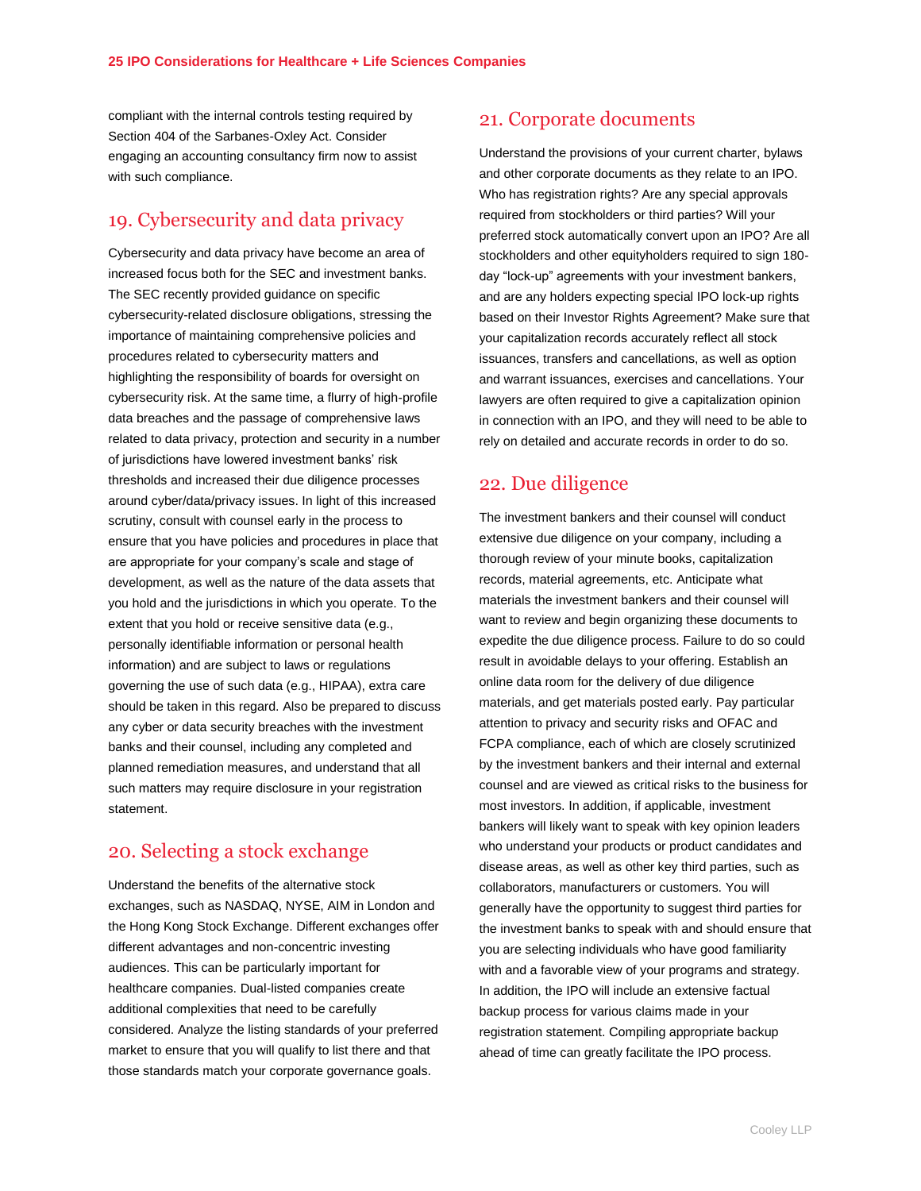compliant with the internal controls testing required by Section 404 of the Sarbanes-Oxley Act. Consider engaging an accounting consultancy firm now to assist with such compliance.

#### 19. Cybersecurity and data privacy

Cybersecurity and data privacy have become an area of increased focus both for the SEC and investment banks. The SEC recently provided guidance on specific cybersecurity-related disclosure obligations, stressing the importance of maintaining comprehensive policies and procedures related to cybersecurity matters and highlighting the responsibility of boards for oversight on cybersecurity risk. At the same time, a flurry of high-profile data breaches and the passage of comprehensive laws related to data privacy, protection and security in a number of jurisdictions have lowered investment banks' risk thresholds and increased their due diligence processes around cyber/data/privacy issues. In light of this increased scrutiny, consult with counsel early in the process to ensure that you have policies and procedures in place that are appropriate for your company's scale and stage of development, as well as the nature of the data assets that you hold and the jurisdictions in which you operate. To the extent that you hold or receive sensitive data (e.g., personally identifiable information or personal health information) and are subject to laws or regulations governing the use of such data (e.g., HIPAA), extra care should be taken in this regard. Also be prepared to discuss any cyber or data security breaches with the investment banks and their counsel, including any completed and planned remediation measures, and understand that all such matters may require disclosure in your registration statement.

#### 20. Selecting a stock exchange

Understand the benefits of the alternative stock exchanges, such as NASDAQ, NYSE, AIM in London and the Hong Kong Stock Exchange. Different exchanges offer different advantages and non-concentric investing audiences. This can be particularly important for healthcare companies. Dual-listed companies create additional complexities that need to be carefully considered. Analyze the listing standards of your preferred market to ensure that you will qualify to list there and that those standards match your corporate governance goals.

#### 21. Corporate documents

Understand the provisions of your current charter, bylaws and other corporate documents as they relate to an IPO. Who has registration rights? Are any special approvals required from stockholders or third parties? Will your preferred stock automatically convert upon an IPO? Are all stockholders and other equityholders required to sign 180 day "lock-up" agreements with your investment bankers, and are any holders expecting special IPO lock-up rights based on their Investor Rights Agreement? Make sure that your capitalization records accurately reflect all stock issuances, transfers and cancellations, as well as option and warrant issuances, exercises and cancellations. Your lawyers are often required to give a capitalization opinion in connection with an IPO, and they will need to be able to rely on detailed and accurate records in order to do so.

#### 22. Due diligence

The investment bankers and their counsel will conduct extensive due diligence on your company, including a thorough review of your minute books, capitalization records, material agreements, etc. Anticipate what materials the investment bankers and their counsel will want to review and begin organizing these documents to expedite the due diligence process. Failure to do so could result in avoidable delays to your offering. Establish an online data room for the delivery of due diligence materials, and get materials posted early. Pay particular attention to privacy and security risks and OFAC and FCPA compliance, each of which are closely scrutinized by the investment bankers and their internal and external counsel and are viewed as critical risks to the business for most investors. In addition, if applicable, investment bankers will likely want to speak with key opinion leaders who understand your products or product candidates and disease areas, as well as other key third parties, such as collaborators, manufacturers or customers. You will generally have the opportunity to suggest third parties for the investment banks to speak with and should ensure that you are selecting individuals who have good familiarity with and a favorable view of your programs and strategy. In addition, the IPO will include an extensive factual backup process for various claims made in your registration statement. Compiling appropriate backup ahead of time can greatly facilitate the IPO process.